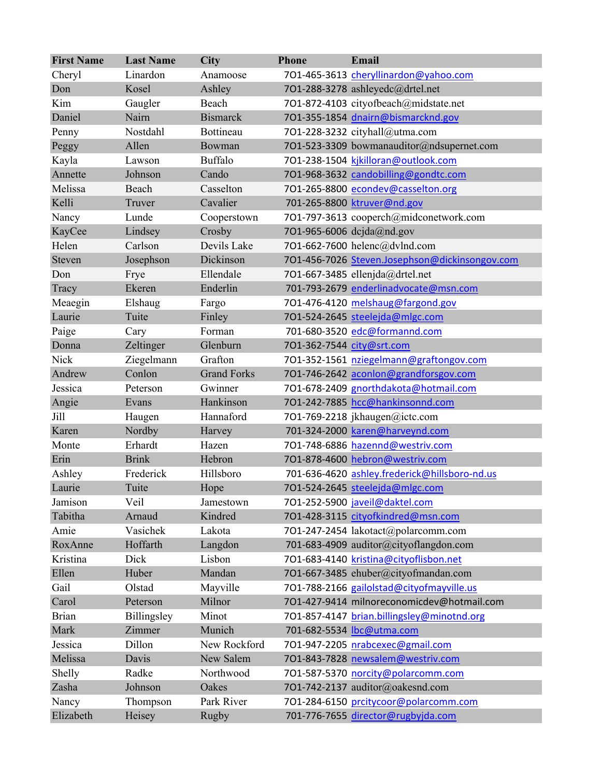| <b>First Name</b> | <b>Last Name</b> | <b>City</b>        | <b>Phone</b>              | Email                                          |
|-------------------|------------------|--------------------|---------------------------|------------------------------------------------|
| Cheryl            | Linardon         | Anamoose           |                           | 701-465-3613 cheryllinardon@yahoo.com          |
| Don               | Kosel            | Ashley             |                           | 701-288-3278 ashleyedc@drtel.net               |
| Kim               | Gaugler          | Beach              |                           | 701-872-4103 cityofbeach@midstate.net          |
| Daniel            | Nairn            | <b>Bismarck</b>    |                           | 701-355-1854 dnairn@bismarcknd.gov             |
| Penny             | Nostdahl         | Bottineau          |                           | 701-228-3232 cityhall@utma.com                 |
| Peggy             | Allen            | Bowman             |                           | 701-523-3309 bowmanauditor@ndsupernet.com      |
| Kayla             | Lawson           | Buffalo            |                           | 701-238-1504 kjkilloran@outlook.com            |
| Annette           | Johnson          | Cando              |                           | 701-968-3632 candobilling@gondtc.com           |
| Melissa           | Beach            | Casselton          |                           | 701-265-8800 econdev@casselton.org             |
| Kelli             | Truver           | Cavalier           |                           | 701-265-8800 ktruver@nd.gov                    |
| Nancy             | Lunde            | Cooperstown        |                           | 701-797-3613 cooperch@midconetwork.com         |
| KayCee            | Lindsey          | Crosby             |                           | 701-965-6006 dcjda@nd.gov                      |
| Helen             | Carlson          | Devils Lake        |                           | 701-662-7600 helenc@dvlnd.com                  |
| Steven            | Josephson        | Dickinson          |                           | 701-456-7026 Steven.Josephson@dickinsongov.com |
| Don               | Frye             | Ellendale          |                           | 701-667-3485 ellenjda@drtel.net                |
| Tracy             | Ekeren           | Enderlin           |                           | 701-793-2679 enderlinadvocate@msn.com          |
| Meaegin           | Elshaug          | Fargo              |                           | 701-476-4120 melshaug@fargond.gov              |
| Laurie            | Tuite            | Finley             |                           | 701-524-2645 steelejda@mlgc.com                |
| Paige             | Cary             | Forman             |                           | 701-680-3520 edc@formannd.com                  |
| Donna             | Zeltinger        | Glenburn           | 701-362-7544 city@srt.com |                                                |
| Nick              | Ziegelmann       | Grafton            |                           | 701-352-1561 nziegelmann@graftongov.com        |
| Andrew            | Conlon           | <b>Grand Forks</b> |                           | 701-746-2642 aconlon@grandforsgov.com          |
| Jessica           | Peterson         | Gwinner            |                           | 701-678-2409 gnorthdakota@hotmail.com          |
| Angie             | Evans            | Hankinson          |                           | 701-242-7885 hcc@hankinsonnd.com               |
| Jill              | Haugen           | Hannaford          |                           | 701-769-2218 jkhaugen@ictc.com                 |
| Karen             | Nordby           | Harvey             |                           | 701-324-2000 karen@harveynd.com                |
| Monte             | Erhardt          | Hazen              |                           | 701-748-6886 hazennd@westriv.com               |
| Erin              | <b>Brink</b>     | Hebron             |                           | 701-878-4600 hebron@westriv.com                |
| Ashley            | Frederick        | Hillsboro          |                           | 701-636-4620 ashley.frederick@hillsboro-nd.us  |
| Laurie            | Tuite            | Hope               |                           | 701-524-2645 steelejda@mlgc.com                |
| Jamison           | Veil             | Jamestown          |                           | 701-252-5900 javeil@daktel.com                 |
| Tabitha           | Arnaud           | Kindred            |                           | 701-428-3115 cityofkindred@msn.com             |
| Amie              | Vasichek         | Lakota             |                           | 701-247-2454 lakotact@polarcomm.com            |
| RoxAnne           | Hoffarth         | Langdon            |                           | 701-683-4909 auditor@cityoflangdon.com         |
| Kristina          | Dick             | Lisbon             |                           | 701-683-4140 kristina@cityoflisbon.net         |
| Ellen             | Huber            | Mandan             |                           | 701-667-3485 ehuber@cityofmandan.com           |
| Gail              | Olstad           | Mayville           |                           | 701-788-2166 gailolstad@cityofmayville.us      |
| Carol             | Peterson         | Milnor             |                           | 701-427-9414 milnoreconomicdev@hotmail.com     |
| <b>Brian</b>      | Billingsley      | Minot              |                           | 701-857-4147 brian.billingsley@minotnd.org     |
| Mark              | Zimmer           | Munich             |                           | 701-682-5534 lbc@utma.com                      |
| Jessica           | Dillon           | New Rockford       |                           | 701-947-2205 nrabcexec@gmail.com               |
| Melissa           | Davis            | New Salem          |                           | 701-843-7828 newsalem@westriv.com              |
| Shelly            | Radke            | Northwood          |                           | 701-587-5370 norcity@polarcomm.com             |
| Zasha             | Johnson          | Oakes              |                           | 701-742-2137 auditor@oakesnd.com               |
| Nancy             | Thompson         | Park River         |                           | 701-284-6150 prcitycoor@polarcomm.com          |
| Elizabeth         | Heisey           | Rugby              |                           | 701-776-7655 director@rugbyjda.com             |